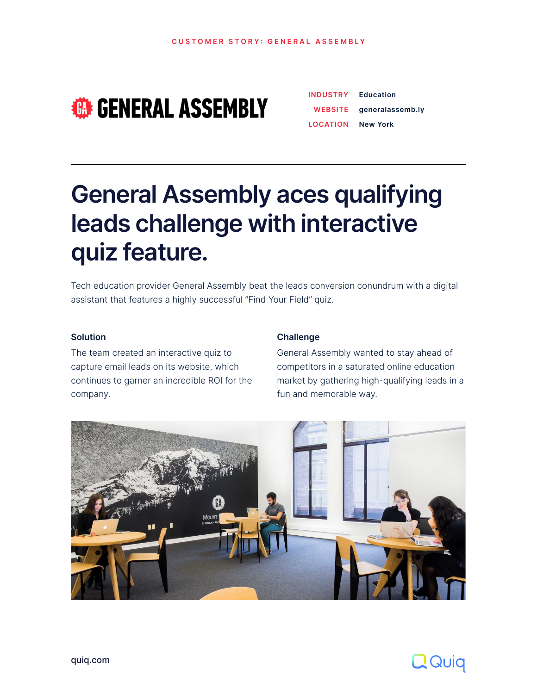**CUSTOMER STORY: GENERAL ASSEMBLY** 

# **ED GENERAL ASSEMBLY**

[quiq.com](http://quiq.com)

# **General Assembly aces qualifying leads challenge with interactive quiz feature.**

| <b>INDUSTRY</b> | <b>Education</b> |
|-----------------|------------------|
| WEBSITE         | generalassemb.ly |
| LOCATION        | <b>New York</b>  |

Tech education provider General Assembly beat the leads conversion conundrum with a digital assistant that features a highly successful "Find Your Field" quiz.

#### **Challenge**

General Assembly wanted to stay ahead of competitors in a saturated online education market by gathering high-qualifying leads in a fun and memorable way.





#### **Solution**

The team created an interactive quiz to capture email leads on its website, which continues to garner an incredible ROI for the company.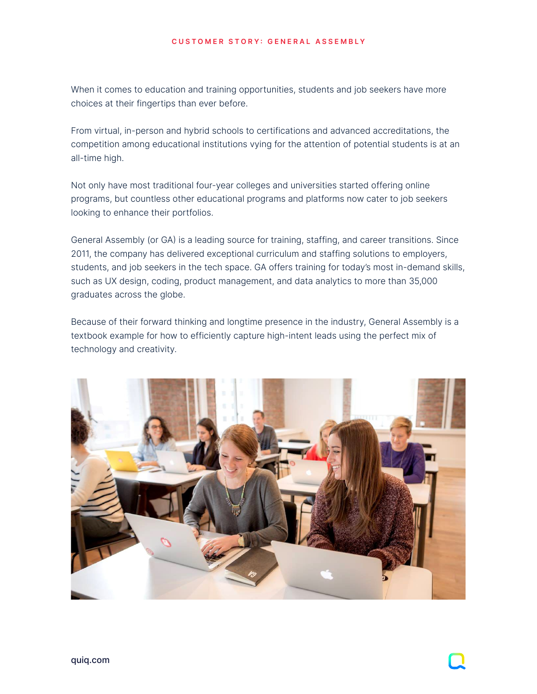[quiq.com](http://quiq.com)

#### **CUSTOMER STORY: GENERAL ASSEMBLY**

When it comes to education and training opportunities, students and job seekers have more choices at their fingertips than ever before.

From virtual, in-person and hybrid schools to certifications and advanced accreditations, the competition among educational institutions vying for the attention of potential students is at an all-time high.

Not only have most traditional four-year colleges and universities started offering online programs, but countless other educational programs and platforms now cater to job seekers looking to enhance their portfolios.

General Assembly (or GA) is a leading source for training, staffing, and career transitions. Since 2011, the company has delivered exceptional curriculum and staffing solutions to employers, students, and job seekers in the tech space. GA offers training for today's most in-demand skills, such as UX design, coding, product management, and data analytics to more than 35,000 graduates across the globe.

Because of their forward thinking and longtime presence in the industry, General Assembly is a textbook example for how to efficiently capture high-intent leads using the perfect mix of technology and creativity.



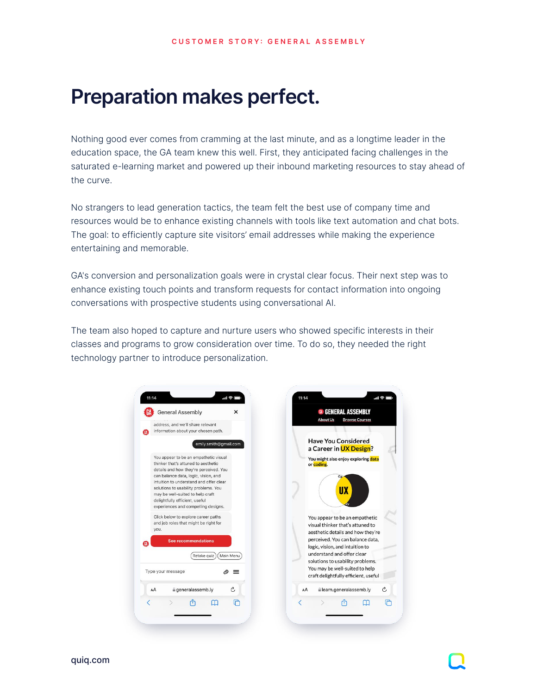[quiq.com](http://quiq.com)

## **Preparation makes perfect.**

Nothing good ever comes from cramming at the last minute, and as a longtime leader in the education space, the GA team knew this well. First, they anticipated facing challenges in the saturated e-learning market and powered up their inbound marketing resources to stay ahead of the curve.

No strangers to lead generation tactics, the team felt the best use of company time and resources would be to enhance existing channels with tools like text automation and chat bots. The goal: to efficiently capture site visitors' email addresses while making the experience entertaining and memorable.

GA's conversion and personalization goals were in crystal clear focus. Their next step was to enhance existing touch points and transform requests for contact information into ongoing conversations with prospective students using conversational AI.

The team also hoped to capture and nurture users who showed specific interests in their classes and programs to grow consideration over time. To do so, they needed the right technology partner to introduce personalization.

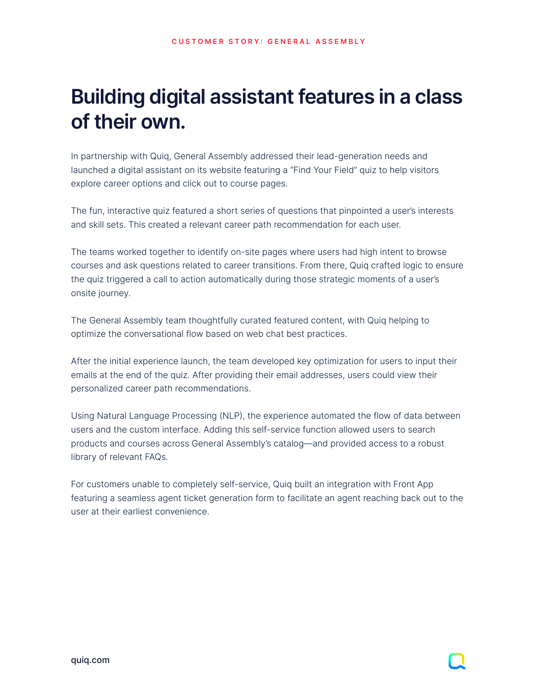# **Building digital assistant features in a class of their own.**

In partnership with Quiq, General Assembly addressed their lead-generation needs and launched a digital assistant on its website featuring a "Find Your Field" quiz to help visitors explore career options and click out to course pages.

The fun, interactive quiz featured a short series of questions that pinpointed a user's interests and skill sets. This created a relevant career path recommendation for each user.

The teams worked together to identify on-site pages where users had high intent to browse courses and ask questions related to career transitions. From there, Quiq crafted logic to ensure the quiz triggered a call to action automatically during those strategic moments of a user's onsite journey.

The General Assembly team thoughtfully curated featured content, with Quiq helping to optimize the conversational flow based on web chat best practices.

After the initial experience launch, the team developed key optimization for users to input their emails at the end of the quiz. After providing their email addresses, users could view their personalized career path recommendations.

Using Natural Language Processing (NLP, the experience automated the flow of data between users and the custom interface. Adding this self-service function allowed users to search products and courses across General Assembly's catalog—and provided access to a robust library of relevant FAQs.

For customers unable to completely self-service, Quiq built an integration with Front App featuring a seamless agent ticket generation form to facilitate an agent reaching back out to the user at their earliest convenience.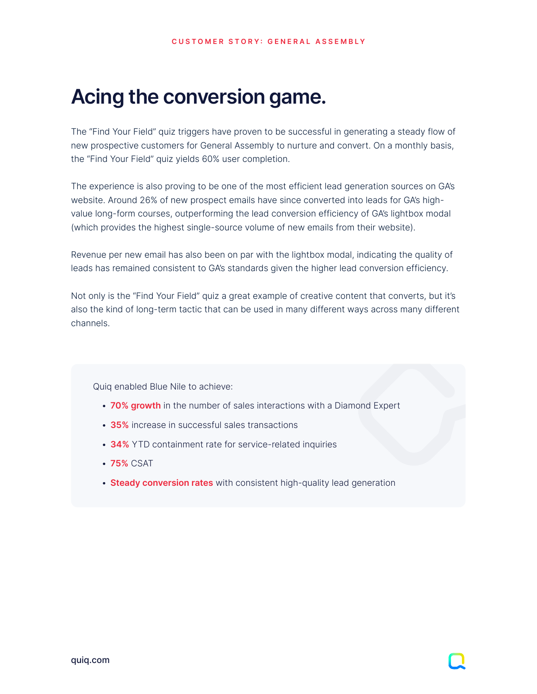## **Acing the conversion game.**

The "Find Your Field" quiz triggers have proven to be successful in generating a steady flow of new prospective customers for General Assembly to nurture and convert. On a monthly basis, the "Find Your Field" quiz yields 60% user completion.

The experience is also proving to be one of the most efficient lead generation sources on GA's website. Around 26% of new prospect emails have since converted into leads for GA's highvalue long-form courses, outperforming the lead conversion efficiency of GA's lightbox modal (which provides the highest single-source volume of new emails from their website).

Revenue per new email has also been on par with the lightbox modal, indicating the quality of leads has remained consistent to GA's standards given the higher lead conversion efficiency.

Not only is the "Find Your Field" quiz a great example of creative content that converts, but it's also the kind of long-term tactic that can be used in many different ways across many different channels.

Quiq enabled Blue Nile to achieve:

- **70% growth** in the number of sales interactions with a Diamond Expert
- **35%** increase in successful sales transactions
- **34%** YTD containment rate for service-related inquiries
- **75%** CSAT
- **Steady conversion rates** with consistent high-quality lead generation